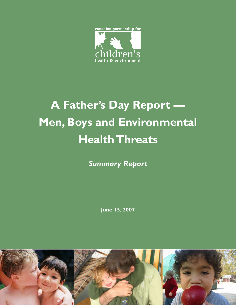

# **A Father's Day Report — Men, Boys and Environmental Health Threats**

*Summary Report*

**June 15, 2007**

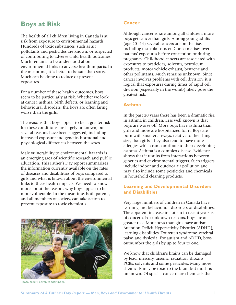## **Boys at Risk**

The health of all children living in Canada is at risk from exposure to environmental hazards. Hundreds of toxic substances, such as air pollutants and pesticides are known, or suspected of contributing to adverse child health outcomes. Much remains to be understood about environmental links to adverse health impacts. In the meantime, it is better to be safe than sorry. Much can be done to reduce or prevent exposures.

For a number of these health outcomes, boys seem to be particularly at risk. Whether we look at cancer, asthma, birth defects, or learning and behavioural disorders, the boys are often faring worse than the girls.

The reasons that boys appear to be at greater risk for these conditions are largely unknown, but several reasons have been suggested, including increased exposure and genetic, hormonal and physiological differences between the sexes.

Male vulnerability to environmental hazards is an emerging area of scientific research and public education. This Father's Day report summarizes the information currently available on the rates of diseases and disabilities of boys compared to girls and what is known about the environmental links to these health impacts. We need to know more about the reasons why boys appear to be more vulnerable. In the meantime, both parents, and all members of society, can take action to prevent exposure to toxic chemicals.



Photo credit: Loren Vanderlinden

#### **Cancer**

Although cancer is rare among all children, more boys get cancer than girls. Among young adults (age 20–44) several cancers are on the rise, including testicular cancer. Concern arises over parents' exposures before conception or during pregnancy. Childhood cancers are associated with exposures to pesticides, solvents, petroleum products, motor vehicle exhaust, benzene and other pollutants. Much remains unknown. Since cancer involves problems with cell division, it is logical that exposures during times of rapid cell division (especially in the womb) likely pose the greatest risk.

#### **Asthma**

In the past 20 years there has been a dramatic rise in asthma in children. Less well known is that boys are worse off. More boys have asthma than girls and more are hospitalized for it. Boys are born with smaller airways, relative to their lung size, than girls. They also tend to have more allergies which can contribute to their developing asthma. Asthma is a complex disease. Evidence shows that it results from interactions between genetics and environmental triggers. Such triggers include indoor and outdoor air pollution and may also include some pesticides and chemicals in household cleaning products.

## **Learning and Developmental Disorders and Disabilities**

Very large numbers of children in Canada have learning and behavioural disorders or disabilities. The apparent increase in autism in recent years is of concern. For unknown reasons, boys are at greater risk. More boys than girls have autism, Attention Deficit Hyperactivity Disorder (ADHD), learning disabilities, Tourette's syndrome, cerebral palsy, and dyslexia. For autism and ADHD, boys outnumber the girls by up to four to one.

We know that children's brains can be damaged by lead, mercury, arsenic, radiation, dioxins, PCBs, solvents and some pesticides. Many more chemicals may be toxic to the brain but much is unknown. Of special concern are chemicals that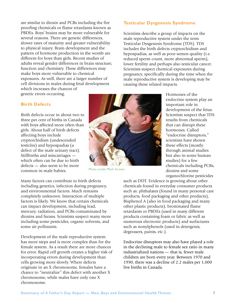are similar to dioxin and PCBs including the fire proofing chemicals or flame retardants known as PBDEs. Boys' brains may be more vulnerable for several reasons. There are genetic differences, slower rates of maturity and greater vulnerability to physical injury. Brain development and the pattern of hormone production in the womb are different for boys than girls. Recent studies of adults reveal gender differences in brain structure, function and chemistry. These differences may make boys more vulnerable to chemical exposures. As well, there are a larger number of cell divisions in males during fetal development which increases the chances of genetic errors occurring.

#### **Testicular Dysgenesis Syndrome**

Scientists describe a group of impacts on the male reproductive system under the term Testicular Dysgenesis Syndrome (TDS). TDS includes the birth defects cryptorchidism and hypospadias, as well as poor semen quality (i.e. reduced sperm count, more abnormal sperm), lower fertility and perhaps also testicular cancer. Scientists suspect chemical exposures during pregnancy, specifically during the time when the male reproductive system is developing may be causing these related impacts.

### **Birth Defects**

Birth defects occur in about two to three per cent of births in Canada with boys affected more often than girls. About half of birth defects affecting boys include cryptorchidism (undescended testicles) and hypospadias (a defect of the male urinary tract). Stillbirths and miscarriages which often can be due to birth defects — also seem to be more common in male babies.

Many factors can contribute to birth defects including genetics, infection during pregnancy, and environmental factors. Much remains completely unknown. Interaction of multiple factors is likely. We know that certain chemicals can impact development, including lead, mercury, radiation, and PCBs contaminated by dioxins and furans. Scientists suspect many more including some pesticides, organic solvents, and some air pollutants.

Development of the male reproductive system has more steps and is more complex than for the female system. As a result there are more chances for error. Rapid cell growth creates a higher risk of incorporating errors during development than cells growing more slowly. Where defects originate in an X chromosome, females have a chance to "neutralize" this defect with another X chromosome, while males have only one X chromosome.



Photo credit: Mark Surman

Hormones of the endocrine system play an important role in development of the fetus. Scientists suspect that TDS results from chemicals that can disrupt these hormones. Called "endocrine disruptors," scientists have shown these effects (mostly through animal studies but also in some human studies) for a few chemicals including PCBs, dioxins and some organochlorine pesticides

such as DDT. Evidence is growing about other chemicals found in everyday consumer products such as: phthalates (found in many personal care products, food packaging and other products), Bisphenol A (also in food packaging and many other plastic products), brominated flame retardants or PBDEs (used in many different products containing foam or fabric as well as numerous electronic products) and surfactants such as nonylphenols (used in detergents, degreasers, paints, etc.).

Endocrine disruptors may also have played a role in the declining male to female sex ratio in many industrialized nations — that is, fewer male children are born every year. Between 1970 and 1990, there was a decline of 2.2 males per 1,000 live births in Canada.